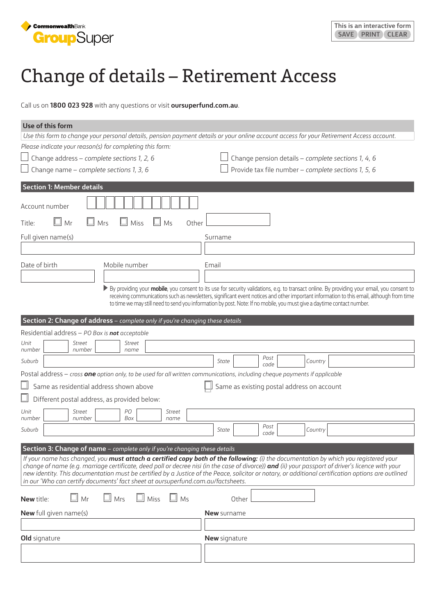

## Change of details – Retirement Access

Call us on **1800 023 928** with any questions or visit **[oursuperfund.com.au](https://oursuperfund.com.au)**.

| Use of this form                                                                                                                                                                                                                                                                                                                                                                                                           |                                                                                                                                                                                                                                                                                                                                                                                                                                                   |  |  |  |
|----------------------------------------------------------------------------------------------------------------------------------------------------------------------------------------------------------------------------------------------------------------------------------------------------------------------------------------------------------------------------------------------------------------------------|---------------------------------------------------------------------------------------------------------------------------------------------------------------------------------------------------------------------------------------------------------------------------------------------------------------------------------------------------------------------------------------------------------------------------------------------------|--|--|--|
|                                                                                                                                                                                                                                                                                                                                                                                                                            | Use this form to change your personal details, pension payment details or your online account access for your Retirement Access account.                                                                                                                                                                                                                                                                                                          |  |  |  |
| Please indicate your reason(s) for completing this form:                                                                                                                                                                                                                                                                                                                                                                   |                                                                                                                                                                                                                                                                                                                                                                                                                                                   |  |  |  |
| Change address - complete sections 1, 2, 6                                                                                                                                                                                                                                                                                                                                                                                 | Change pension details - complete sections 1, 4, 6                                                                                                                                                                                                                                                                                                                                                                                                |  |  |  |
| Change name - complete sections 1, 3, 6                                                                                                                                                                                                                                                                                                                                                                                    | Provide tax file number - complete sections 1, 5, 6                                                                                                                                                                                                                                                                                                                                                                                               |  |  |  |
| <b>Section 1: Member details</b>                                                                                                                                                                                                                                                                                                                                                                                           |                                                                                                                                                                                                                                                                                                                                                                                                                                                   |  |  |  |
| Account number                                                                                                                                                                                                                                                                                                                                                                                                             |                                                                                                                                                                                                                                                                                                                                                                                                                                                   |  |  |  |
| Mr<br>Miss<br>Mrs<br>Ms<br>Title:<br>Other                                                                                                                                                                                                                                                                                                                                                                                 |                                                                                                                                                                                                                                                                                                                                                                                                                                                   |  |  |  |
| Full given name(s)                                                                                                                                                                                                                                                                                                                                                                                                         | Surname                                                                                                                                                                                                                                                                                                                                                                                                                                           |  |  |  |
|                                                                                                                                                                                                                                                                                                                                                                                                                            |                                                                                                                                                                                                                                                                                                                                                                                                                                                   |  |  |  |
| Date of birth<br>Mobile number                                                                                                                                                                                                                                                                                                                                                                                             | Email                                                                                                                                                                                                                                                                                                                                                                                                                                             |  |  |  |
|                                                                                                                                                                                                                                                                                                                                                                                                                            |                                                                                                                                                                                                                                                                                                                                                                                                                                                   |  |  |  |
| By providing your <b>mobile</b> , you consent to its use for security validations, e.g. to transact online. By providing your email, you consent to<br>receiving communications such as newsletters, significant event notices and other important information to this email, although from time<br>to time we may still need to send you information by post. Note: If no mobile, you must give a daytime contact number. |                                                                                                                                                                                                                                                                                                                                                                                                                                                   |  |  |  |
| Section 2: Change of address - complete only if you're changing these details                                                                                                                                                                                                                                                                                                                                              |                                                                                                                                                                                                                                                                                                                                                                                                                                                   |  |  |  |
| Residential address - PO Box is not acceptable                                                                                                                                                                                                                                                                                                                                                                             |                                                                                                                                                                                                                                                                                                                                                                                                                                                   |  |  |  |
| Unit<br>Street<br><b>Street</b><br>number<br>number<br>name                                                                                                                                                                                                                                                                                                                                                                |                                                                                                                                                                                                                                                                                                                                                                                                                                                   |  |  |  |
| Suburb                                                                                                                                                                                                                                                                                                                                                                                                                     | Post<br>State<br>Country<br>code                                                                                                                                                                                                                                                                                                                                                                                                                  |  |  |  |
| Postal address - cross one option only, to be used for all written communications, including cheque payments if applicable                                                                                                                                                                                                                                                                                                 |                                                                                                                                                                                                                                                                                                                                                                                                                                                   |  |  |  |
| Same as residential address shown above<br>Same as existing postal address on account                                                                                                                                                                                                                                                                                                                                      |                                                                                                                                                                                                                                                                                                                                                                                                                                                   |  |  |  |
| Different postal address, as provided below:                                                                                                                                                                                                                                                                                                                                                                               |                                                                                                                                                                                                                                                                                                                                                                                                                                                   |  |  |  |
| Unit<br>PО<br><b>Street</b><br>Street                                                                                                                                                                                                                                                                                                                                                                                      |                                                                                                                                                                                                                                                                                                                                                                                                                                                   |  |  |  |
| Box<br>number<br>number<br>name                                                                                                                                                                                                                                                                                                                                                                                            | Post                                                                                                                                                                                                                                                                                                                                                                                                                                              |  |  |  |
| Suburb                                                                                                                                                                                                                                                                                                                                                                                                                     | Country<br>State<br>code                                                                                                                                                                                                                                                                                                                                                                                                                          |  |  |  |
| Section 3: Change of name – complete only if you're changing these details                                                                                                                                                                                                                                                                                                                                                 |                                                                                                                                                                                                                                                                                                                                                                                                                                                   |  |  |  |
| in our 'Who can certify documents' fact sheet at oursuperfund.com.au/factsheets.                                                                                                                                                                                                                                                                                                                                           | If your name has changed, you must attach a certified copy both of the following: (i) the documentation by which you registered your<br>change of name (e.g. marriage certificate, deed poll or decree nisi (in the case of divorce)) and (ii) your passport of driver's licence with your<br>new identity. This documentation must be certified by a Justice of the Peace, solicitor or notary, or additional certification options are outlined |  |  |  |
| П<br>$\Box$ Mrs<br>$\Box$ Miss<br>Mr<br>$\Box$ Ms<br>New title:                                                                                                                                                                                                                                                                                                                                                            | Other                                                                                                                                                                                                                                                                                                                                                                                                                                             |  |  |  |
| <b>New</b> full given name(s)                                                                                                                                                                                                                                                                                                                                                                                              | <b>New</b> surname                                                                                                                                                                                                                                                                                                                                                                                                                                |  |  |  |
|                                                                                                                                                                                                                                                                                                                                                                                                                            |                                                                                                                                                                                                                                                                                                                                                                                                                                                   |  |  |  |
| Old signature                                                                                                                                                                                                                                                                                                                                                                                                              | <b>New</b> signature                                                                                                                                                                                                                                                                                                                                                                                                                              |  |  |  |
|                                                                                                                                                                                                                                                                                                                                                                                                                            |                                                                                                                                                                                                                                                                                                                                                                                                                                                   |  |  |  |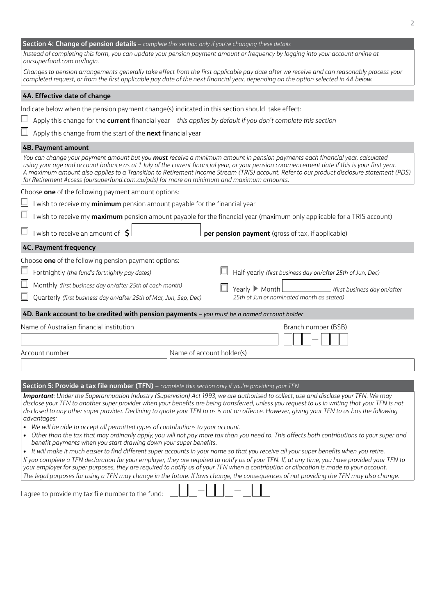| Section 4: Change of pension details - complete this section only if you're changing these details<br>Instead of completing this form, you can update your pension payment amount or frequency by logging into your account online at                                                                                                                                                                                                                                                                                 |  |  |  |  |
|-----------------------------------------------------------------------------------------------------------------------------------------------------------------------------------------------------------------------------------------------------------------------------------------------------------------------------------------------------------------------------------------------------------------------------------------------------------------------------------------------------------------------|--|--|--|--|
| oursuperfund.com.au/login.                                                                                                                                                                                                                                                                                                                                                                                                                                                                                            |  |  |  |  |
| Changes to pension arrangements generally take effect from the first applicable pay date after we receive and can reasonably process your<br>completed request, or from the first applicable pay date of the next financial year, depending on the option selected in 4A below.                                                                                                                                                                                                                                       |  |  |  |  |
| 4A. Effective date of change                                                                                                                                                                                                                                                                                                                                                                                                                                                                                          |  |  |  |  |
| Indicate below when the pension payment change(s) indicated in this section should take effect:                                                                                                                                                                                                                                                                                                                                                                                                                       |  |  |  |  |
| Apply this change for the current financial year - this applies by default if you don't complete this section                                                                                                                                                                                                                                                                                                                                                                                                         |  |  |  |  |
| Apply this change from the start of the next financial year                                                                                                                                                                                                                                                                                                                                                                                                                                                           |  |  |  |  |
| <b>4B. Payment amount</b>                                                                                                                                                                                                                                                                                                                                                                                                                                                                                             |  |  |  |  |
| You can change your payment amount but you must receive a minimum amount in pension payments each financial year, calculated<br>using your age and account balance as at 1 July of the current financial year, or your pension commencement date if this is your first year.<br>A maximum amount also applies to a Transition to Retirement Income Stream (TRIS) account. Refer to our product disclosure statement (PDS)<br>for Retirement Access (oursuperfund.com.au/pds) for more on minimum and maximum amounts. |  |  |  |  |
| Choose one of the following payment amount options:                                                                                                                                                                                                                                                                                                                                                                                                                                                                   |  |  |  |  |
| wish to receive my minimum pension amount payable for the financial year                                                                                                                                                                                                                                                                                                                                                                                                                                              |  |  |  |  |
| I wish to receive my maximum pension amount payable for the financial year (maximum only applicable for a TRIS account)                                                                                                                                                                                                                                                                                                                                                                                               |  |  |  |  |
| I wish to receive an amount of \$<br>per pension payment (gross of tax, if applicable)                                                                                                                                                                                                                                                                                                                                                                                                                                |  |  |  |  |
| <b>4C. Payment frequency</b>                                                                                                                                                                                                                                                                                                                                                                                                                                                                                          |  |  |  |  |
| Choose one of the following pension payment options:                                                                                                                                                                                                                                                                                                                                                                                                                                                                  |  |  |  |  |
| Fortnightly (the fund's fortnightly pay dates)<br>Half-yearly (first business day on/after 25th of Jun, Dec)                                                                                                                                                                                                                                                                                                                                                                                                          |  |  |  |  |
| Monthly (first business day on/after 25th of each month)                                                                                                                                                                                                                                                                                                                                                                                                                                                              |  |  |  |  |
| Yearly ▶ Month<br>first business day on/after  <br>25th of Jun or nominated month as stated)<br>Quarterly (first business day on/after 25th of Mar, Jun, Sep, Dec)                                                                                                                                                                                                                                                                                                                                                    |  |  |  |  |
| 4D. Bank account to be credited with pension payments - you must be a named account holder                                                                                                                                                                                                                                                                                                                                                                                                                            |  |  |  |  |
| Name of Australian financial institution<br>Branch number (BSB)                                                                                                                                                                                                                                                                                                                                                                                                                                                       |  |  |  |  |
|                                                                                                                                                                                                                                                                                                                                                                                                                                                                                                                       |  |  |  |  |
| Name of account holder(s)<br>Account number                                                                                                                                                                                                                                                                                                                                                                                                                                                                           |  |  |  |  |
|                                                                                                                                                                                                                                                                                                                                                                                                                                                                                                                       |  |  |  |  |
| Section 5: Provide a tax file number (TFN) - complete this section only if you're providing your TFN                                                                                                                                                                                                                                                                                                                                                                                                                  |  |  |  |  |
| Important: Under the Superannuation Industry (Supervision) Act 1993, we are authorised to collect, use and disclose your TFN. We may                                                                                                                                                                                                                                                                                                                                                                                  |  |  |  |  |
| disclose your TFN to another super provider when your benefits are being transferred, unless you request to us in writing that your TFN is not                                                                                                                                                                                                                                                                                                                                                                        |  |  |  |  |
| disclosed to any other super provider. Declining to quote your TFN to us is not an offence. However, giving your TFN to us has the following<br>advantages:                                                                                                                                                                                                                                                                                                                                                           |  |  |  |  |
| We will be able to accept all permitted types of contributions to your account.                                                                                                                                                                                                                                                                                                                                                                                                                                       |  |  |  |  |
| Other than the tax that may ordinarily apply, you will not pay more tax than you need to. This affects both contributions to your super and<br>benefit payments when you start drawing down your super benefits.                                                                                                                                                                                                                                                                                                      |  |  |  |  |
| • It will make it much easier to find different super accounts in your name so that you receive all your super benefits when you retire.                                                                                                                                                                                                                                                                                                                                                                              |  |  |  |  |
| If you complete a TFN declaration for your employer, they are required to notify us of your TFN. If, at any time, you have provided your TFN to<br>your employer for super purposes, they are required to notify us of your TFN when a contribution or allocation is made to your account.                                                                                                                                                                                                                            |  |  |  |  |
| The legal purposes for using a TFN may change in the future. If laws change, the consequences of not providing the TFN may also change.                                                                                                                                                                                                                                                                                                                                                                               |  |  |  |  |
| I agree to provide my tax file number to the fund:                                                                                                                                                                                                                                                                                                                                                                                                                                                                    |  |  |  |  |

**2**